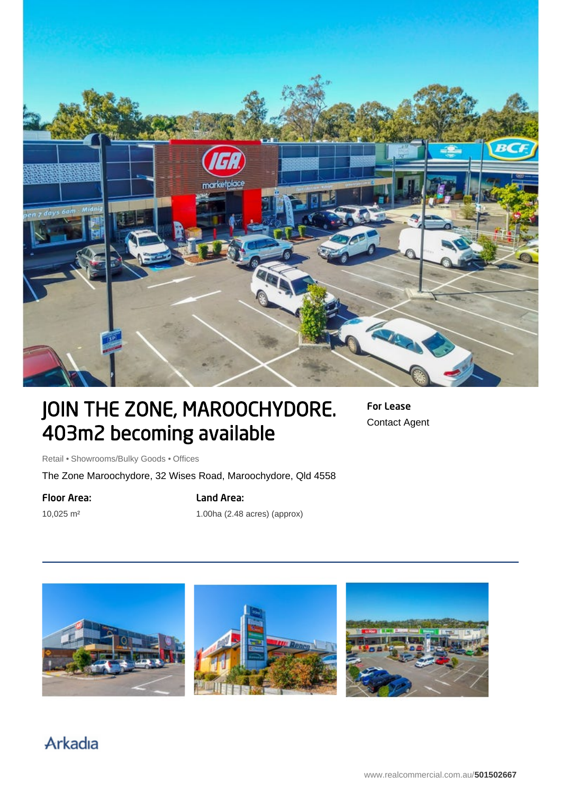

# JOIN THE ZONE, MAROOCHYDORE. 403m2 becoming available

For Lease Contact Agent

Retail • Showrooms/Bulky Goods • Offices

The Zone Maroochydore, 32 Wises Road, Maroochydore, Qld 4558

#### Floor Area:

10,025 m²

## Land Area:

1.00ha (2.48 acres) (approx)



# Arkadia